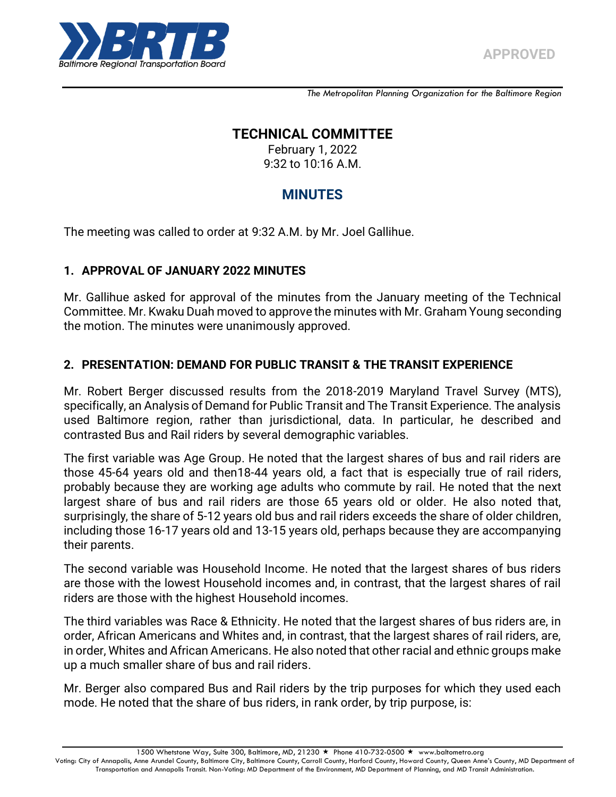

*The Metropolitan Planning Organization for the Baltimore Region*

# **TECHNICAL COMMITTEE**

February 1, 2022 9:32 to 10:16 A.M.

# **MINUTES**

The meeting was called to order at 9:32 A.M. by Mr. Joel Gallihue.

# **1. APPROVAL OF JANUARY 2022 MINUTES**

Mr. Gallihue asked for approval of the minutes from the January meeting of the Technical Committee. Mr. Kwaku Duah moved to approve the minutes with Mr. Graham Young seconding the motion. The minutes were unanimously approved.

# **2. PRESENTATION: DEMAND FOR PUBLIC TRANSIT & THE TRANSIT EXPERIENCE**

Mr. Robert Berger discussed results from the 2018-2019 Maryland Travel Survey (MTS), specifically, an Analysis of Demand for Public Transit and The Transit Experience. The analysis used Baltimore region, rather than jurisdictional, data. In particular, he described and contrasted Bus and Rail riders by several demographic variables.

The first variable was Age Group. He noted that the largest shares of bus and rail riders are those 45-64 years old and then18-44 years old, a fact that is especially true of rail riders, probably because they are working age adults who commute by rail. He noted that the next largest share of bus and rail riders are those 65 years old or older. He also noted that, surprisingly, the share of 5-12 years old bus and rail riders exceeds the share of older children, including those 16-17 years old and 13-15 years old, perhaps because they are accompanying their parents.

The second variable was Household Income. He noted that the largest shares of bus riders are those with the lowest Household incomes and, in contrast, that the largest shares of rail riders are those with the highest Household incomes.

The third variables was Race & Ethnicity. He noted that the largest shares of bus riders are, in order, African Americans and Whites and, in contrast, that the largest shares of rail riders, are, in order, Whites and African Americans. He also noted that other racial and ethnic groups make up a much smaller share of bus and rail riders.

Mr. Berger also compared Bus and Rail riders by the trip purposes for which they used each mode. He noted that the share of bus riders, in rank order, by trip purpose, is:

1500 Whetstone Way, Suite 300, Baltimore, MD, 21230 ★ Phone 410-732-0500 ★ www.baltometro.org

Voting: City of Annapolis, Anne Arundel County, Baltimore City, Baltimore County, Carroll County, Harford County, Howard Coun ty, Queen Anne's County, MD Department of Transportation and Annapolis Transit. Non-Voting: MD Department of the Environment, MD Department of Planning, and MD Transit Administration.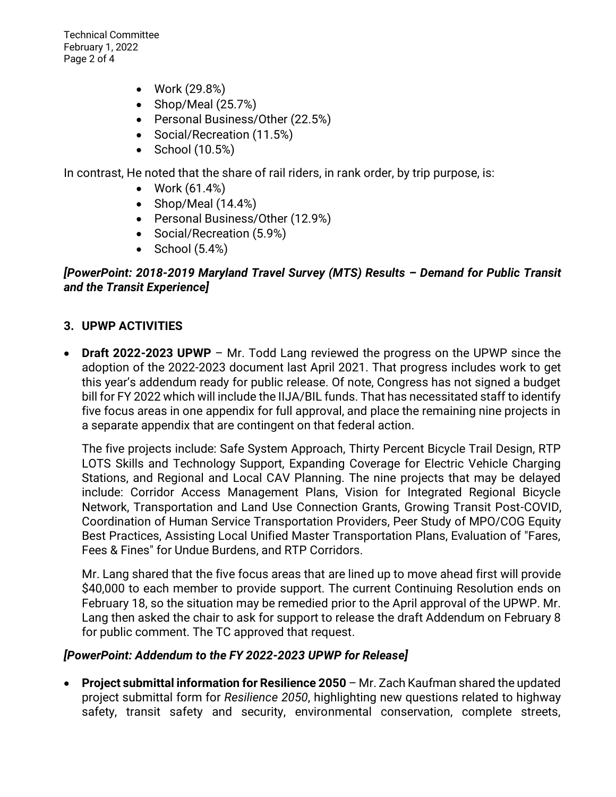Technical Committee February 1, 2022 Page 2 of 4

- Work (29.8%)
- Shop/Meal  $(25.7%)$
- Personal Business/Other (22.5%)
- Social/Recreation (11.5%)
- $\bullet$  School (10.5%)

In contrast, He noted that the share of rail riders, in rank order, by trip purpose, is:

- Work  $(61.4%)$
- $\bullet$  Shop/Meal (14.4%)
- Personal Business/Other (12.9%)
- Social/Recreation (5.9%)
- $\bullet$  School (5.4%)

#### *[PowerPoint: 2018-2019 Maryland Travel Survey (MTS) Results – Demand for Public Transit and the Transit Experience]*

### **3. UPWP ACTIVITIES**

 **Draft 2022-2023 UPWP** – Mr. Todd Lang reviewed the progress on the UPWP since the adoption of the 2022-2023 document last April 2021. That progress includes work to get this year's addendum ready for public release. Of note, Congress has not signed a budget bill for FY 2022 which will include the IIJA/BIL funds. That has necessitated staff to identify five focus areas in one appendix for full approval, and place the remaining nine projects in a separate appendix that are contingent on that federal action.

The five projects include: Safe System Approach, Thirty Percent Bicycle Trail Design, RTP LOTS Skills and Technology Support, Expanding Coverage for Electric Vehicle Charging Stations, and Regional and Local CAV Planning. The nine projects that may be delayed include: Corridor Access Management Plans, Vision for Integrated Regional Bicycle Network, Transportation and Land Use Connection Grants, Growing Transit Post-COVID, Coordination of Human Service Transportation Providers, Peer Study of MPO/COG Equity Best Practices, Assisting Local Unified Master Transportation Plans, Evaluation of "Fares, Fees & Fines" for Undue Burdens, and RTP Corridors.

Mr. Lang shared that the five focus areas that are lined up to move ahead first will provide \$40,000 to each member to provide support. The current Continuing Resolution ends on February 18, so the situation may be remedied prior to the April approval of the UPWP. Mr. Lang then asked the chair to ask for support to release the draft Addendum on February 8 for public comment. The TC approved that request.

#### *[PowerPoint: Addendum to the FY 2022-2023 UPWP for Release]*

 **Project submittal information for Resilience 2050** – Mr. Zach Kaufman shared the updated project submittal form for *Resilience 2050*, highlighting new questions related to highway safety, transit safety and security, environmental conservation, complete streets,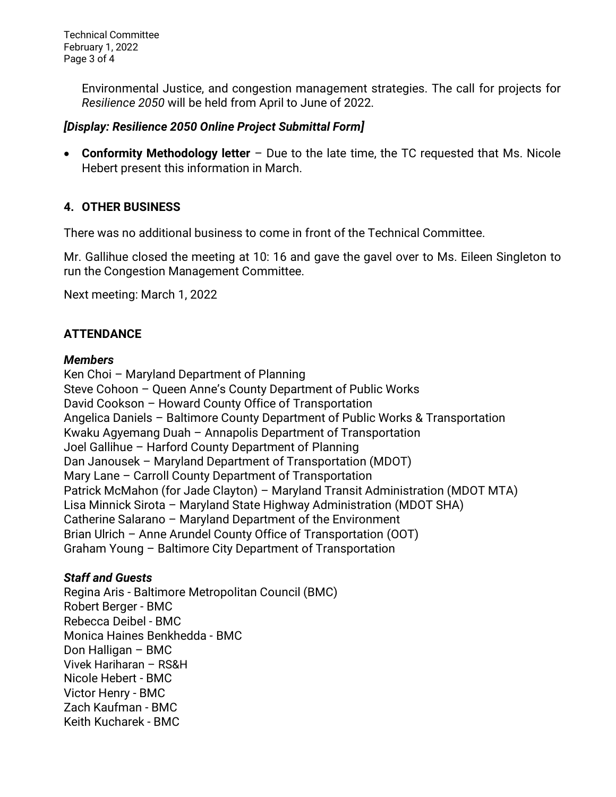Technical Committee February 1, 2022 Page 3 of 4

> Environmental Justice, and congestion management strategies. The call for projects for *Resilience 2050* will be held from April to June of 2022.

### *[Display: Resilience 2050 Online Project Submittal Form]*

 **Conformity Methodology letter** – Due to the late time, the TC requested that Ms. Nicole Hebert present this information in March.

# **4. OTHER BUSINESS**

There was no additional business to come in front of the Technical Committee.

Mr. Gallihue closed the meeting at 10: 16 and gave the gavel over to Ms. Eileen Singleton to run the Congestion Management Committee.

Next meeting: March 1, 2022

# **ATTENDANCE**

#### *Members*

Ken Choi – Maryland Department of Planning Steve Cohoon – Queen Anne's County Department of Public Works David Cookson – Howard County Office of Transportation Angelica Daniels – Baltimore County Department of Public Works & Transportation Kwaku Agyemang Duah – Annapolis Department of Transportation Joel Gallihue – Harford County Department of Planning Dan Janousek – Maryland Department of Transportation (MDOT) Mary Lane – Carroll County Department of Transportation Patrick McMahon (for Jade Clayton) – Maryland Transit Administration (MDOT MTA) Lisa Minnick Sirota – Maryland State Highway Administration (MDOT SHA) Catherine Salarano – Maryland Department of the Environment Brian Ulrich – Anne Arundel County Office of Transportation (OOT) Graham Young – Baltimore City Department of Transportation

### *Staff and Guests*

Regina Aris - Baltimore Metropolitan Council (BMC) Robert Berger - BMC Rebecca Deibel - BMC Monica Haines Benkhedda - BMC Don Halligan – BMC Vivek Hariharan – RS&H Nicole Hebert - BMC Victor Henry - BMC Zach Kaufman - BMC Keith Kucharek - BMC